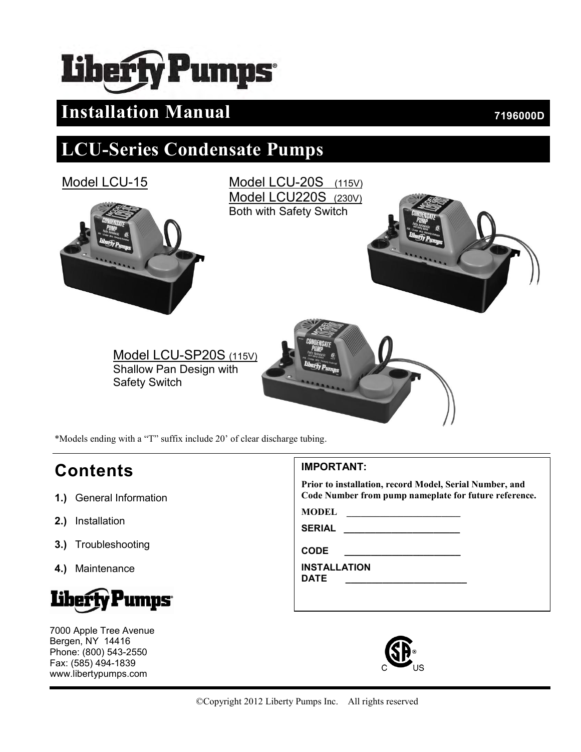# berty Pumps

## **Installation Manual** *7196000D*

## **LCU-Series Condensate Pumps**



\*Models ending with a "T" suffix include 20' of clear discharge tubing.

## **Contents**

- **1.)** General Information
- **2.)** Installation
- **3.)** Troubleshooting
- **4.)** Maintenance



7000 Apple Tree Avenue Bergen, NY 14416 Phone: (800) 543-2550 Fax: (585) 494-1839 www.libertypumps.com

#### **IMPORTANT:**

**Prior to installation, record Model, Serial Number, and Code Number from pump nameplate for future reference.**

**MODEL \_\_\_\_\_\_\_\_\_\_\_\_\_\_\_\_\_\_\_\_\_\_\_\_**

**SERIAL \_\_\_\_\_\_\_\_\_\_\_\_\_\_\_\_\_\_\_\_\_\_**

**CODE \_\_\_\_\_\_\_\_\_\_\_\_\_\_\_\_\_\_\_\_\_\_**

**INSTALLATION**

**DATE \_\_\_\_\_\_\_\_\_\_\_\_\_\_\_\_\_\_\_\_\_\_\_**

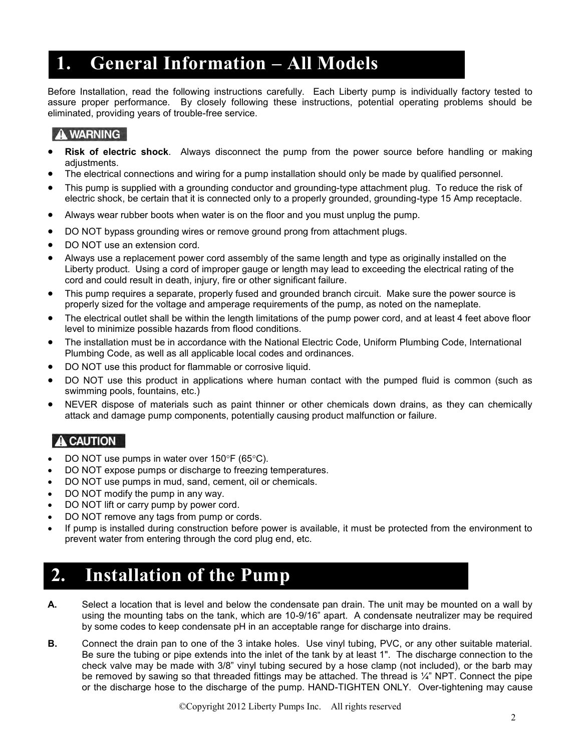## **1. General Information – All Models**

Before Installation, read the following instructions carefully. Each Liberty pump is individually factory tested to assure proper performance. By closely following these instructions, potential operating problems should be eliminated, providing years of trouble-free service.

#### **A WARNING**

- **Risk of electric shock**. Always disconnect the pump from the power source before handling or making adjustments.
- The electrical connections and wiring for a pump installation should only be made by qualified personnel.
- This pump is supplied with a grounding conductor and grounding-type attachment plug. To reduce the risk of electric shock, be certain that it is connected only to a properly grounded, grounding-type 15 Amp receptacle.
- Always wear rubber boots when water is on the floor and you must unplug the pump.
- DO NOT bypass grounding wires or remove ground prong from attachment plugs.
- DO NOT use an extension cord.
- Always use a replacement power cord assembly of the same length and type as originally installed on the Liberty product. Using a cord of improper gauge or length may lead to exceeding the electrical rating of the cord and could result in death, injury, fire or other significant failure.
- This pump requires a separate, properly fused and grounded branch circuit. Make sure the power source is properly sized for the voltage and amperage requirements of the pump, as noted on the nameplate.
- The electrical outlet shall be within the length limitations of the pump power cord, and at least 4 feet above floor level to minimize possible hazards from flood conditions.
- The installation must be in accordance with the National Electric Code, Uniform Plumbing Code, International Plumbing Code, as well as all applicable local codes and ordinances.
- DO NOT use this product for flammable or corrosive liquid.
- DO NOT use this product in applications where human contact with the pumped fluid is common (such as swimming pools, fountains, etc.)
- NEVER dispose of materials such as paint thinner or other chemicals down drains, as they can chemically attack and damage pump components, potentially causing product malfunction or failure.

## **A** CAUTION

- DO NOT use pumps in water over  $150^{\circ}F$  (65 $^{\circ}C$ ).
- DO NOT expose pumps or discharge to freezing temperatures.
- DO NOT use pumps in mud, sand, cement, oil or chemicals.
- DO NOT modify the pump in any way.
- DO NOT lift or carry pump by power cord.
- DO NOT remove any tags from pump or cords.
- If pump is installed during construction before power is available, it must be protected from the environment to prevent water from entering through the cord plug end, etc.

## **2. Installation of the Pump**

- **A.** Select a location that is level and below the condensate pan drain. The unit may be mounted on a wall by using the mounting tabs on the tank, which are 10-9/16" apart. A condensate neutralizer may be required by some codes to keep condensate pH in an acceptable range for discharge into drains.
- **B.** Connect the drain pan to one of the 3 intake holes. Use vinyl tubing, PVC, or any other suitable material. Be sure the tubing or pipe extends into the inlet of the tank by at least 1". The discharge connection to the check valve may be made with 3/8" vinyl tubing secured by a hose clamp (not included), or the barb may be removed by sawing so that threaded fittings may be attached. The thread is  $\frac{1}{4}$ " NPT. Connect the pipe or the discharge hose to the discharge of the pump. HAND-TIGHTEN ONLY. Over-tightening may cause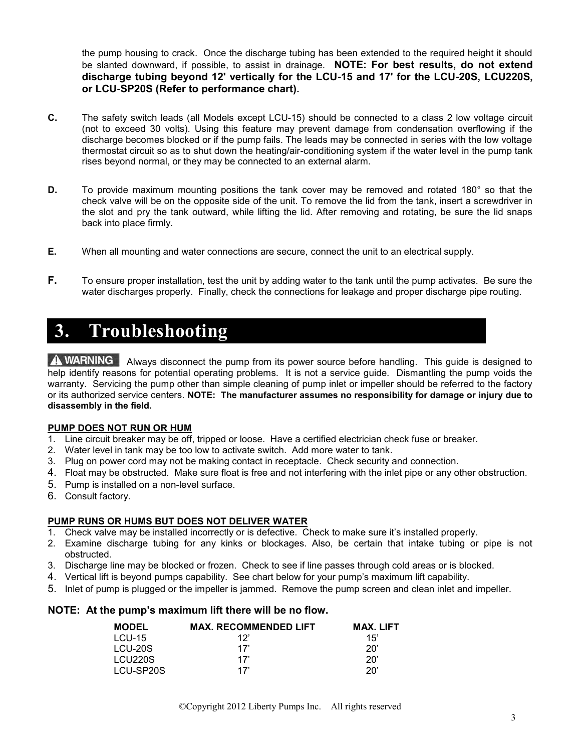the pump housing to crack. Once the discharge tubing has been extended to the required height it should be slanted downward, if possible, to assist in drainage. **NOTE: For best results, do not extend discharge tubing beyond 12' vertically for the LCU-15 and 17' for the LCU-20S, LCU220S, or LCU-SP20S (Refer to performance chart).** 

- **C.** The safety switch leads (all Models except LCU-15) should be connected to a class 2 low voltage circuit (not to exceed 30 volts). Using this feature may prevent damage from condensation overflowing if the discharge becomes blocked or if the pump fails. The leads may be connected in series with the low voltage thermostat circuit so as to shut down the heating/air-conditioning system if the water level in the pump tank rises beyond normal, or they may be connected to an external alarm.
- **D.** To provide maximum mounting positions the tank cover may be removed and rotated 180° so that the check valve will be on the opposite side of the unit. To remove the lid from the tank, insert a screwdriver in the slot and pry the tank outward, while lifting the lid. After removing and rotating, be sure the lid snaps back into place firmly.
- **E.** When all mounting and water connections are secure, connect the unit to an electrical supply.
- **F.** To ensure proper installation, test the unit by adding water to the tank until the pump activates. Be sure the water discharges properly. Finally, check the connections for leakage and proper discharge pipe routing.

## **3. Troubleshooting**

A WARNING Always disconnect the pump from its power source before handling. This guide is designed to help identify reasons for potential operating problems. It is not a service guide. Dismantling the pump voids the warranty. Servicing the pump other than simple cleaning of pump inlet or impeller should be referred to the factory or its authorized service centers. **NOTE: The manufacturer assumes no responsibility for damage or injury due to disassembly in the field.**

#### **PUMP DOES NOT RUN OR HUM**

- 1. Line circuit breaker may be off, tripped or loose. Have a certified electrician check fuse or breaker.
- 2. Water level in tank may be too low to activate switch. Add more water to tank.
- 3. Plug on power cord may not be making contact in receptacle. Check security and connection.
- 4. Float may be obstructed. Make sure float is free and not interfering with the inlet pipe or any other obstruction.
- 5. Pump is installed on a non-level surface.
- 6. Consult factory.

#### **PUMP RUNS OR HUMS BUT DOES NOT DELIVER WATER**

- 1. Check valve may be installed incorrectly or is defective. Check to make sure it's installed properly.
- 2. Examine discharge tubing for any kinks or blockages. Also, be certain that intake tubing or pipe is not obstructed.
- 3. Discharge line may be blocked or frozen. Check to see if line passes through cold areas or is blocked.
- 4. Vertical lift is beyond pumps capability. See chart below for your pump's maximum lift capability.
- 5. Inlet of pump is plugged or the impeller is jammed. Remove the pump screen and clean inlet and impeller.

#### **NOTE: At the pump's maximum lift there will be no flow.**

| <b>MODEL</b> | <b>MAX. RECOMMENDED LIFT</b> | MAX. LIFT |
|--------------|------------------------------|-----------|
| $LCU-15$     | 12'                          | 15'       |
| LCU-20S      | 17'                          | 20'       |
| LCU220S      | 17'                          | 20'       |
| LCU-SP20S    | 17'                          | 20'       |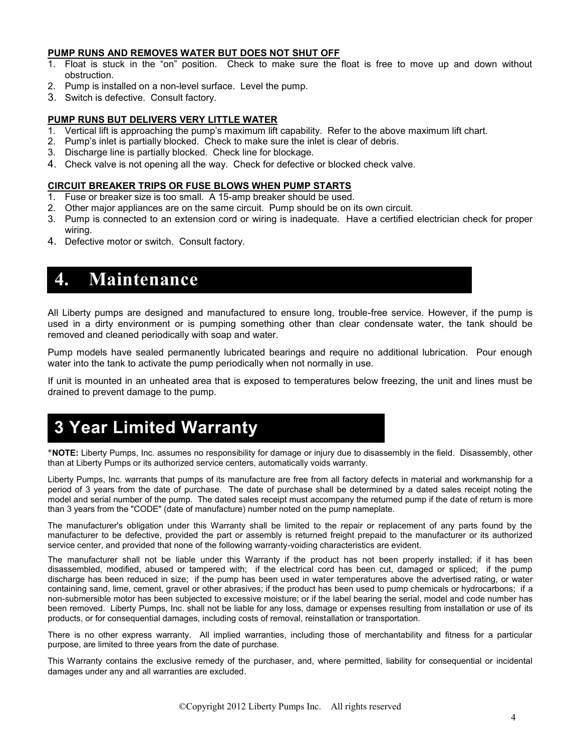#### **PUMP RUNS AND REMOVES WATER BUT DOES NOT SHUT OFF**

- 1. Float is stuck in the "on" position. Check to make sure the float is free to move up and down without obstruction.
- 2. Pump is installed on a non-level surface. Level the pump.
- 3. Switch is defective. Consult factory.

#### **PUMP RUNS BUT DELIVERS VERY LITTLE WATER**

- 1. Vertical lift is approaching the pump's maximum lift capability. Refer to the above maximum lift chart.
- 2. Pump's inlet is partially blocked. Check to make sure the inlet is clear of debris.
- 3. Discharge line is partially blocked. Check line for blockage.
- 4. Check valve is not opening all the way. Check for defective or blocked check valve.

#### **CIRCUIT BREAKER TRIPS OR FUSE BLOWS WHEN PUMP STARTS**

- 1. Fuse or breaker size is too small. A 15-amp breaker should be used.
- 2. Other major appliances are on the same circuit. Pump should be on its own circuit.
- 3. Pump is connected to an extension cord or wiring is inadequate. Have a certified electrician check for proper wiring.
- 4. Defective motor or switch. Consult factory.

## **4. Maintenance**

All Liberty pumps are designed and manufactured to ensure long, trouble-free service. However, if the pump is used in a dirty environment or is pumping something other than clear condensate water, the tank should be removed and cleaned periodically with soap and water.

Pump models have sealed permanently lubricated bearings and require no additional lubrication. Pour enough water into the tank to activate the pump periodically when not normally in use.

If unit is mounted in an unheated area that is exposed to temperatures below freezing, the unit and lines must be drained to prevent damage to the pump.

## **3 Year Limited Warranty**

**NOTE:** Liberty Pumps, Inc. assumes no responsibility for damage or injury due to disassembly in the field. Disassembly, other than at Liberty Pumps or its authorized service centers, automatically voids warranty.

Liberty Pumps, Inc. warrants that pumps of its manufacture are free from all factory defects in material and workmanship for a period of 3 years from the date of purchase. The date of purchase shall be determined by a dated sales receipt noting the model and serial number of the pump. The dated sales receipt must accompany the returned pump if the date of return is more than 3 years from the "CODE" (date of manufacture) number noted on the pump nameplate.

The manufacturer's obligation under this Warranty shall be limited to the repair or replacement of any parts found by the manufacturer to be defective, provided the part or assembly is returned freight prepaid to the manufacturer or its authorized service center, and provided that none of the following warranty-voiding characteristics are evident.

The manufacturer shall not be liable under this Warranty if the product has not been properly installed; if it has been disassembled, modified, abused or tampered with; if the electrical cord has been cut, damaged or spliced; if the pump discharge has been reduced in size; if the pump has been used in water temperatures above the advertised rating, or water containing sand, lime, cement, gravel or other abrasives; if the product has been used to pump chemicals or hydrocarbons; if a non-submersible motor has been subjected to excessive moisture; or if the label bearing the serial, model and code number has been removed. Liberty Pumps, Inc. shall not be liable for any loss, damage or expenses resulting from installation or use of its products, or for consequential damages, including costs of removal, reinstallation or transportation.

There is no other express warranty. All implied warranties, including those of merchantability and fitness for a particular purpose, are limited to three years from the date of purchase.

This Warranty contains the exclusive remedy of the purchaser, and, where permitted, liability for consequential or incidental damages under any and all warranties are excluded.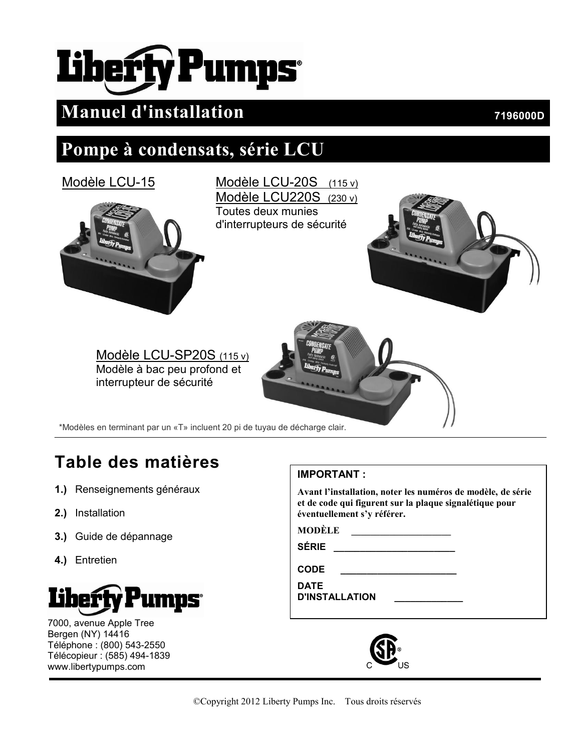# **Liberty Pumps**

## **Manuel d'installation 196000D 7196000D**

## **Pompe à condensats, série LCU**





Modèle LCU-20S (115 v) Modèle LCU220S (230 v) Toutes deux munies d'interrupteurs de sécurité





\*Modèles en terminant par un «T» incluent 20 pi de tuyau de décharge clair.

## **Table des matières**

- **1.)** Renseignements généraux
- **2.)** Installation
- **3.)** Guide de dépannage
- **4.)** Entretien



7000, avenue Apple Tree Bergen (NY) 14416 Téléphone : (800) 543-2550 Télécopieur : (585) 494-1839 www.libertypumps.com

## **IMPORTANT :**

**Avant l'installation, noter les numéros de modèle, de série et de code qui figurent sur la plaque signalétique pour éventuellement s'y référer.**

**MODÈLE \_\_\_\_\_\_\_\_\_\_\_\_\_\_\_\_\_\_\_\_\_**

**SÉRIE \_\_\_\_\_\_\_\_\_\_\_\_\_\_\_\_\_\_\_\_\_\_\_**

**CODE \_\_\_\_\_\_\_\_\_\_\_\_\_\_\_\_\_\_\_\_\_\_**

**DATE D'INSTALLATION \_\_\_\_\_\_\_\_\_\_\_\_\_**

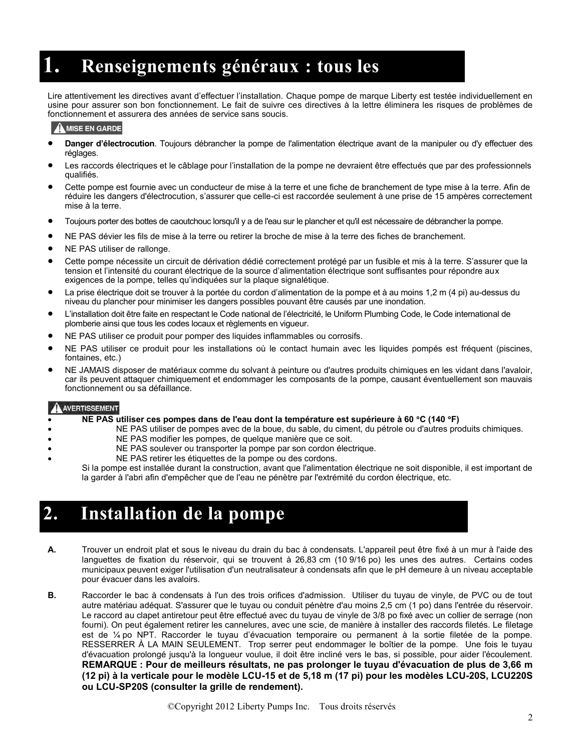## **1. Renseignements généraux : tous les**

Lire attentivement les directives avant d'effectuer l'installation. Chaque pompe de marque Liberty est testée individuellement en **modèles** usine pour assurer son bon fonctionnement. Le fait de suivre ces directives à la lettre éliminera les risques de problèmes de fonctionnement et assurera des années de service sans soucis.

#### $\mathbf{\Omega}$  MISE EN GARDE

- **Danger d'électrocution**. Toujours débrancher la pompe de l'alimentation électrique avant de la manipuler ou d'y effectuer des réglages.
- Les raccords électriques et le câblage pour l'installation de la pompe ne devraient être effectués que par des professionnels qualifiés.
- Cette pompe est fournie avec un conducteur de mise à la terre et une fiche de branchement de type mise à la terre. Afin de réduire les dangers d'électrocution, s'assurer que celle-ci est raccordée seulement à une prise de 15 ampères correctement mise à la terre.
- Toujours porter des bottes de caoutchouc lorsqu'il y a de l'eau sur le plancher et qu'il est nécessaire de débrancher la pompe.
- NE PAS dévier les fils de mise à la terre ou retirer la broche de mise à la terre des fiches de branchement.
- NE PAS utiliser de rallonge.
- Cette pompe nécessite un circuit de dérivation dédié correctement protégé par un fusible et mis à la terre. S'assurer que la tension et l'intensité du courant électrique de la source d'alimentation électrique sont suffisantes pour répondre aux exigences de la pompe, telles qu'indiquées sur la plaque signalétique.
- La prise électrique doit se trouver à la portée du cordon d'alimentation de la pompe et à au moins 1,2 m (4 pi) au-dessus du niveau du plancher pour minimiser les dangers possibles pouvant être causés par une inondation.
- L'installation doit être faite en respectant le Code national de l'électricité, le Uniform Plumbing Code, le Code international de plomberie ainsi que tous les codes locaux et règlements en vigueur.
- NE PAS utiliser ce produit pour pomper des liquides inflammables ou corrosifs.
- NE PAS utiliser ce produit pour les installations où le contact humain avec les liquides pompés est fréquent (piscines, fontaines, etc.)
- NE JAMAIS disposer de matériaux comme du solvant à peinture ou d'autres produits chimiques en les vidant dans l'avaloir, car ils peuvent attaquer chimiquement et endommager les composants de la pompe, causant éventuellement son mauvais fonctionnement ou sa défaillance.

#### **A AVERTISSEMENT**

#### **NE PAS utiliser ces pompes dans de l'eau dont la température est supérieure à 60 C (140 F)**

- NE PAS utiliser de pompes avec de la boue, du sable, du ciment, du pétrole ou d'autres produits chimiques.
- NE PAS modifier les pompes, de quelque manière que ce soit.
	- NE PAS soulever ou transporter la pompe par son cordon électrique.
- NE PAS retirer les étiquettes de la pompe ou des cordons.

Si la pompe est installée durant la construction, avant que l'alimentation électrique ne soit disponible, il est important de la garder à l'abri afin d'empêcher que de l'eau ne pénètre par l'extrémité du cordon électrique, etc.

## **2. Installation de la pompe**

- **A.** Trouver un endroit plat et sous le niveau du drain du bac à condensats. L'appareil peut être fixé à un mur à l'aide des languettes de fixation du réservoir, qui se trouvent à 26,83 cm (10 9/16 po) les unes des autres. Certains codes municipaux peuvent exiger l'utilisation d'un neutralisateur à condensats afin que le pH demeure à un niveau acceptable pour évacuer dans les avaloirs.
- **B.** Raccorder le bac à condensats à l'un des trois orifices d'admission. Utiliser du tuyau de vinyle, de PVC ou de tout autre matériau adéquat. S'assurer que le tuyau ou conduit pénètre d'au moins 2,5 cm (1 po) dans l'entrée du réservoir. Le raccord au clapet antiretour peut être effectué avec du tuyau de vinyle de 3/8 po fixé avec un collier de serrage (non fourni). On peut également retirer les cannelures, avec une scie, de manière à installer des raccords filetés. Le filetage est de ¼ po NPT. Raccorder le tuyau d'évacuation temporaire ou permanent à la sortie filetée de la pompe. RESSERRER À LA MAIN SEULEMENT. Trop serrer peut endommager le boîtier de la pompe. Une fois le tuyau d'évacuation prolongé jusqu'à la longueur voulue, il doit être incliné vers le bas, si possible, pour aider l'écoulement. **REMARQUE : Pour de meilleurs résultats, ne pas prolonger le tuyau d'évacuation de plus de 3,66 m (12 pi) à la verticale pour le modèle LCU-15 et de 5,18 m (17 pi) pour les modèles LCU-20S, LCU220S ou LCU-SP20S (consulter la grille de rendement).**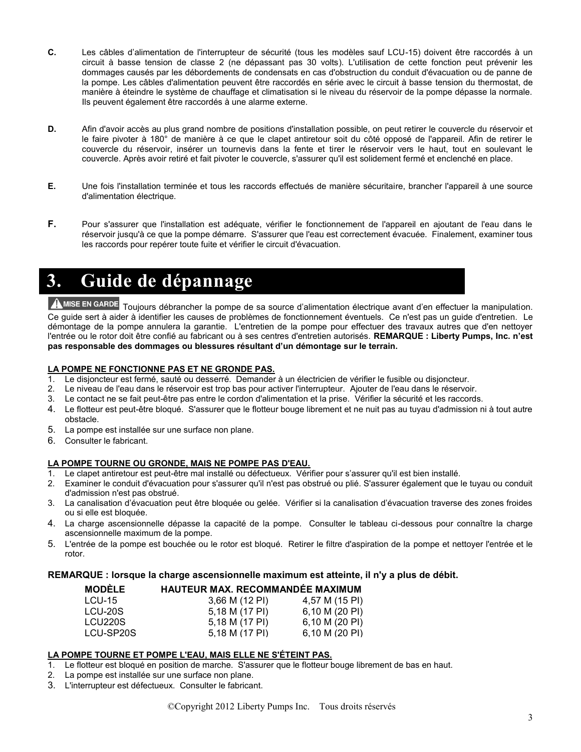- **C.** Les câbles d'alimentation de l'interrupteur de sécurité (tous les modèles sauf LCU-15) doivent être raccordés à un circuit à basse tension de classe 2 (ne dépassant pas 30 volts). L'utilisation de cette fonction peut prévenir les dommages causés par les débordements de condensats en cas d'obstruction du conduit d'évacuation ou de panne de la pompe. Les câbles d'alimentation peuvent être raccordés en série avec le circuit à basse tension du thermostat, de manière à éteindre le système de chauffage et climatisation si le niveau du réservoir de la pompe dépasse la normale. Ils peuvent également être raccordés à une alarme externe.
- **D.** Afin d'avoir accès au plus grand nombre de positions d'installation possible, on peut retirer le couvercle du réservoir et le faire pivoter à 180° de manière à ce que le clapet antiretour soit du côté opposé de l'appareil. Afin de retirer le couvercle du réservoir, insérer un tournevis dans la fente et tirer le réservoir vers le haut, tout en soulevant le couvercle. Après avoir retiré et fait pivoter le couvercle, s'assurer qu'il est solidement fermé et enclenché en place.
- **E.** Une fois l'installation terminée et tous les raccords effectués de manière sécuritaire, brancher l'appareil à une source d'alimentation électrique.
- **F.** Pour s'assurer que l'installation est adéquate, vérifier le fonctionnement de l'appareil en ajoutant de l'eau dans le réservoir jusqu'à ce que la pompe démarre. S'assurer que l'eau est correctement évacuée. Finalement, examiner tous les raccords pour repérer toute fuite et vérifier le circuit d'évacuation.

## **3. Guide de dépannage**

A MISE EN GARDE Toujours débrancher la pompe de sa source d'alimentation électrique avant d'en effectuer la manipulation. Ce guide sert à aider à identifier les causes de problèmes de fonctionnement éventuels. Ce n'est pas un guide d'entretien. Le démontage de la pompe annulera la garantie. L'entretien de la pompe pour effectuer des travaux autres que d'en nettoyer l'entrée ou le rotor doit être confié au fabricant ou à ses centres d'entretien autorisés. **REMARQUE : Liberty Pumps, Inc. n'est pas responsable des dommages ou blessures résultant d'un démontage sur le terrain.**

#### **LA POMPE NE FONCTIONNE PAS ET NE GRONDE PAS.**

- 1. Le disjoncteur est fermé, sauté ou desserré. Demander à un électricien de vérifier le fusible ou disjoncteur.
- 2. Le niveau de l'eau dans le réservoir est trop bas pour activer l'interrupteur. Ajouter de l'eau dans le réservoir.
- 3. Le contact ne se fait peut-être pas entre le cordon d'alimentation et la prise. Vérifier la sécurité et les raccords.
- 4. Le flotteur est peut-être bloqué. S'assurer que le flotteur bouge librement et ne nuit pas au tuyau d'admission ni à tout autre obstacle.
- 5. La pompe est installée sur une surface non plane.
- 6. Consulter le fabricant.

#### **LA POMPE TOURNE OU GRONDE, MAIS NE POMPE PAS D'EAU.**

- 1. Le clapet antiretour est peut-être mal installé ou défectueux. Vérifier pour s'assurer qu'il est bien installé.
- 2. Examiner le conduit d'évacuation pour s'assurer qu'il n'est pas obstrué ou plié. S'assurer également que le tuyau ou conduit d'admission n'est pas obstrué.
- 3. La canalisation d'évacuation peut être bloquée ou gelée. Vérifier si la canalisation d'évacuation traverse des zones froides ou si elle est bloquée.
- 4. La charge ascensionnelle dépasse la capacité de la pompe. Consulter le tableau ci-dessous pour connaître la charge ascensionnelle maximum de la pompe.
- 5. L'entrée de la pompe est bouchée ou le rotor est bloqué. Retirer le filtre d'aspiration de la pompe et nettoyer l'entrée et le rotor.

#### **REMARQUE : lorsque la charge ascensionnelle maximum est atteinte, il n'y a plus de débit.**

| <b>MODELE</b> | <b>HAUTEUR MAX. RECOMMANDÉE MAXIMUM</b> |                |
|---------------|-----------------------------------------|----------------|
| LCU-15        | 3,66 M (12 PI)                          | 4,57 M (15 PI) |
| LCU-20S       | 5,18 M (17 PI)                          | 6,10 M (20 PI) |
| LCU220S       | 5,18 M (17 PI)                          | 6,10 M (20 PI) |
| LCU-SP20S     | 5.18 M (17 PI)                          | 6.10 M (20 PI) |

#### **LA POMPE TOURNE ET POMPE L'EAU, MAIS ELLE NE S'ÉTEINT PAS.**

- 1. Le flotteur est bloqué en position de marche. S'assurer que le flotteur bouge librement de bas en haut.
- 2. La pompe est installée sur une surface non plane.
- 3. L'interrupteur est défectueux. Consulter le fabricant.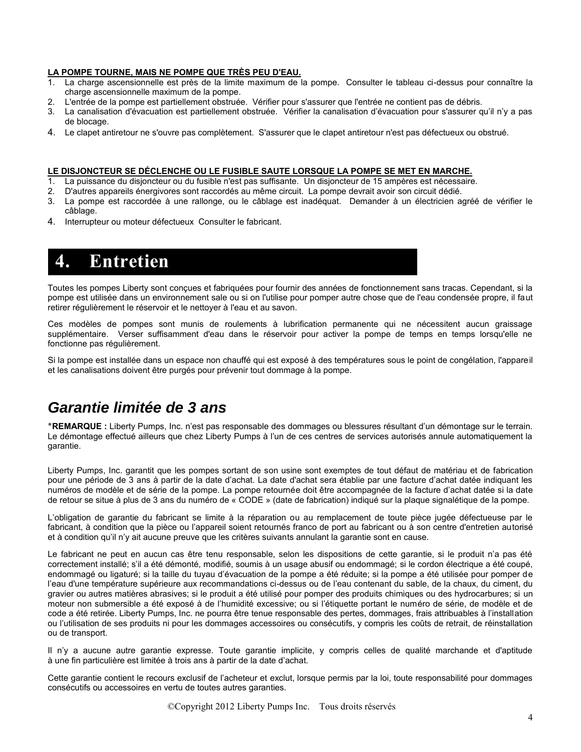#### **LA POMPE TOURNE, MAIS NE POMPE QUE TRÈS PEU D'EAU.**

- 1. La charge ascensionnelle est près de la limite maximum de la pompe. Consulter le tableau ci-dessus pour connaître la charge ascensionnelle maximum de la pompe.
- 2. L'entrée de la pompe est partiellement obstruée. Vérifier pour s'assurer que l'entrée ne contient pas de débris.
- 3. La canalisation d'évacuation est partiellement obstruée. Vérifier la canalisation d'évacuation pour s'assurer qu'il n'y a pas de blocage.
- 4. Le clapet antiretour ne s'ouvre pas complètement. S'assurer que le clapet antiretour n'est pas défectueux ou obstrué.

#### **LE DISJONCTEUR SE DÉCLENCHE OU LE FUSIBLE SAUTE LORSQUE LA POMPE SE MET EN MARCHE.**

- 1. La puissance du disjoncteur ou du fusible n'est pas suffisante. Un disjoncteur de 15 ampères est nécessaire.
- 2. D'autres appareils énergivores sont raccordés au même circuit. La pompe devrait avoir son circuit dédié.
- 3. La pompe est raccordée à une rallonge, ou le câblage est inadéquat. Demander à un électricien agréé de vérifier le câblage.
- 4. Interrupteur ou moteur défectueux Consulter le fabricant.

## **4. Entretien**

Toutes les pompes Liberty sont conçues et fabriquées pour fournir des années de fonctionnement sans tracas. Cependant, si la pompe est utilisée dans un environnement sale ou si on l'utilise pour pomper autre chose que de l'eau condensée propre, il faut retirer régulièrement le réservoir et le nettoyer à l'eau et au savon.

Ces modèles de pompes sont munis de roulements à lubrification permanente qui ne nécessitent aucun graissage supplémentaire. Verser suffisamment d'eau dans le réservoir pour activer la pompe de temps en temps lorsqu'elle ne fonctionne pas régulièrement.

Si la pompe est installée dans un espace non chauffé qui est exposé à des températures sous le point de congélation, l'appareil et les canalisations doivent être purgés pour prévenir tout dommage à la pompe.

## *Garantie limitée de 3 ans*

**REMARQUE :** Liberty Pumps, Inc. n'est pas responsable des dommages ou blessures résultant d'un démontage sur le terrain. Le démontage effectué ailleurs que chez Liberty Pumps à l'un de ces centres de services autorisés annule automatiquement la garantie.

Liberty Pumps, Inc. garantit que les pompes sortant de son usine sont exemptes de tout défaut de matériau et de fabrication pour une période de 3 ans à partir de la date d'achat. La date d'achat sera établie par une facture d'achat datée indiquant les numéros de modèle et de série de la pompe. La pompe retournée doit être accompagnée de la facture d'achat datée si la date de retour se situe à plus de 3 ans du numéro de « CODE » (date de fabrication) indiqué sur la plaque signalétique de la pompe.

L'obligation de garantie du fabricant se limite à la réparation ou au remplacement de toute pièce jugée défectueuse par le fabricant, à condition que la pièce ou l'appareil soient retournés franco de port au fabricant ou à son centre d'entretien autorisé et à condition qu'il n'y ait aucune preuve que les critères suivants annulant la garantie sont en cause.

Le fabricant ne peut en aucun cas être tenu responsable, selon les dispositions de cette garantie, si le produit n'a pas été correctement installé; s'il a été démonté, modifié, soumis à un usage abusif ou endommagé; si le cordon électrique a été coupé, endommagé ou ligaturé; si la taille du tuyau d'évacuation de la pompe a été réduite; si la pompe a été utilisée pour pomper de l'eau d'une température supérieure aux recommandations ci-dessus ou de l'eau contenant du sable, de la chaux, du ciment, du gravier ou autres matières abrasives; si le produit a été utilisé pour pomper des produits chimiques ou des hydrocarbures; si un moteur non submersible a été exposé à de l'humidité excessive; ou si l'étiquette portant le numéro de série, de modèle et de code a été retirée. Liberty Pumps, Inc. ne pourra être tenue responsable des pertes, dommages, frais attribuables à l'installation ou l'utilisation de ses produits ni pour les dommages accessoires ou consécutifs, y compris les coûts de retrait, de réinstallation ou de transport.

Il n'y a aucune autre garantie expresse. Toute garantie implicite, y compris celles de qualité marchande et d'aptitude à une fin particulière est limitée à trois ans à partir de la date d'achat.

Cette garantie contient le recours exclusif de l'acheteur et exclut, lorsque permis par la loi, toute responsabilité pour dommages consécutifs ou accessoires en vertu de toutes autres garanties.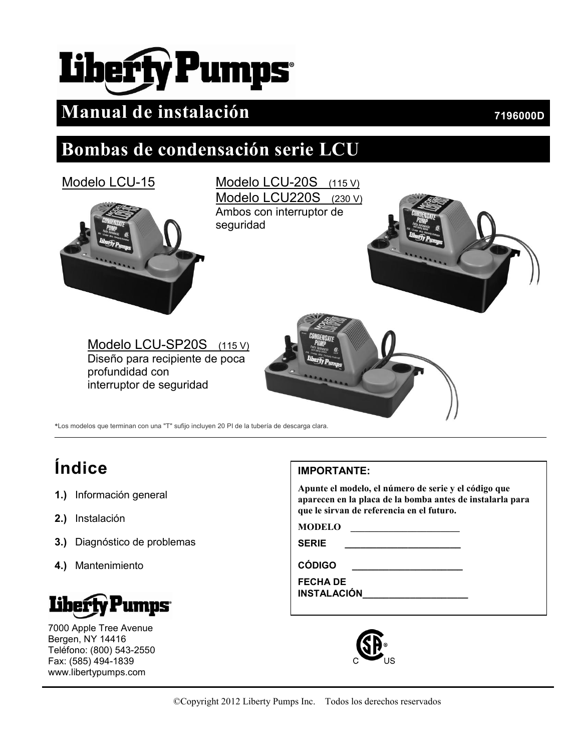# Liberfy Pumps

## **Manual de instalación 196000D 7196000D**

## **Bombas de condensación serie LCU**



\*Los modelos que terminan con una "T" sufijo incluyen 20 PI de la tubería de descarga clara.

# **Índice**

- **1.)** Información general
- **2.)** Instalación
- **3.)** Diagnóstico de problemas
- **4.)** Mantenimiento



7000 Apple Tree Avenue Bergen, NY 14416 Teléfono: (800) 543-2550 Fax: (585) 494-1839 www.libertypumps.com

## **IMPORTANTE:**

**Apunte el modelo, el número de serie y el código que aparecen en la placa de la bomba antes de instalarla para que le sirvan de referencia en el futuro.**

**MODELO \_\_\_\_\_\_\_\_\_\_\_\_\_\_\_\_\_\_\_\_\_\_\_**

**SERIE \_\_\_\_\_\_\_\_\_\_\_\_\_\_\_\_\_\_\_\_\_\_**

**CÓDIGO \_\_\_\_\_\_\_\_\_\_\_\_\_\_\_\_\_\_\_\_\_**

**FECHA DE INSTALACIÓN** 

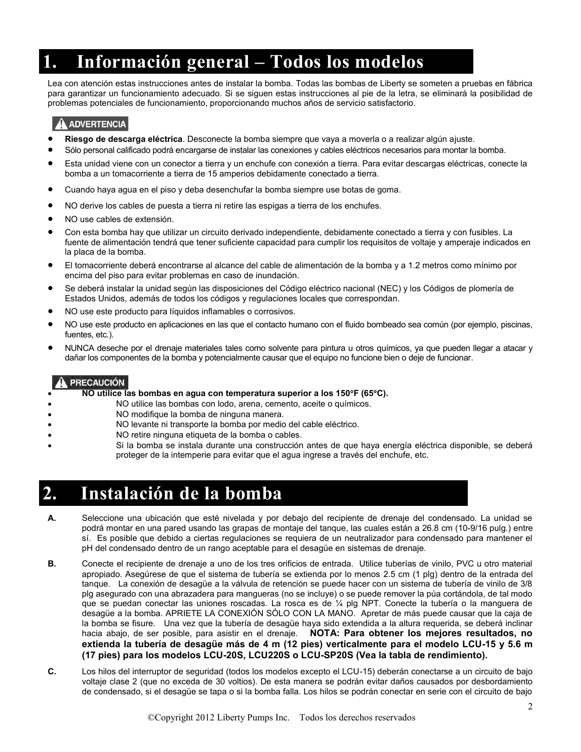## **1. Información general – Todos los modelos**

Lea con atención estas instrucciones antes de instalar la bomba. Todas las bombas de Liberty se someten a pruebas en fábrica para garantizar un funcionamiento adecuado. Si se siguen estas instrucciones al pie de la letra, se eliminará la posibilidad de problemas potenciales de funcionamiento, proporcionando muchos años de servicio satisfactorio.

#### **ADVERTENCIA**

- **Riesgo de descarga eléctrica**. Desconecte la bomba siempre que vaya a moverla o a realizar algún ajuste.
- Sólo personal calificado podrá encargarse de instalar las conexiones y cables eléctricos necesarios para montar la bomba.
- Esta unidad viene con un conector a tierra y un enchufe con conexión a tierra. Para evitar descargas eléctricas, conecte la bomba a un tomacorriente a tierra de 15 amperios debidamente conectado a tierra.
- Cuando haya agua en el piso y deba desenchufar la bomba siempre use botas de goma.
- NO derive los cables de puesta a tierra ni retire las espigas a tierra de los enchufes.
- NO use cables de extensión.
- Con esta bomba hay que utilizar un circuito derivado independiente, debidamente conectado a tierra y con fusibles. La fuente de alimentación tendrá que tener suficiente capacidad para cumplir los requisitos de voltaje y amperaje indicados en la placa de la bomba.
- El tomacorriente deberá encontrarse al alcance del cable de alimentación de la bomba y a 1.2 metros como mínimo por encima del piso para evitar problemas en caso de inundación.
- Se deberá instalar la unidad según las disposiciones del Código eléctrico nacional (NEC) y los Códigos de plomería de Estados Unidos, además de todos los códigos y regulaciones locales que correspondan.
- NO use este producto para líquidos inflamables o corrosivos.
- NO use este producto en aplicaciones en las que el contacto humano con el fluido bombeado sea común (por ejemplo, piscinas, fuentes, etc.).
- NUNCA deseche por el drenaje materiales tales como solvente para pintura u otros químicos, ya que pueden llegar a atacar y dañar los componentes de la bomba y potencialmente causar que el equipo no funcione bien o deje de funcionar.

#### PRECAUCIÓN

**NO utilice las bombas en agua con temperatura superior a los 150F (65C).** 

- NO utilice las bombas con lodo, arena, cemento, aceite o químicos.
- NO modifique la bomba de ninguna manera.
- NO levante ni transporte la bomba por medio del cable eléctrico.
- NO retire ninguna etiqueta de la bomba o cables.
- Si la bomba se instala durante una construcción antes de que haya energía eléctrica disponible, se deberá proteger de la intemperie para evitar que el agua ingrese a través del enchufe, etc.

## **2. Instalación de la bomba**

- **A.** Seleccione una ubicación que esté nivelada y por debajo del recipiente de drenaje del condensado. La unidad se podrá montar en una pared usando las grapas de montaje del tanque, las cuales están a 26.8 cm (10-9/16 pulg.) entre sí. Es posible que debido a ciertas regulaciones se requiera de un neutralizador para condensado para mantener el pH del condensado dentro de un rango aceptable para el desagüe en sistemas de drenaje.
- **B.** Conecte el recipiente de drenaje a uno de los tres orificios de entrada. Utilice tuberías de vinilo, PVC u otro material apropiado. Asegúrese de que el sistema de tubería se extienda por lo menos 2.5 cm (1 plg) dentro de la entrada del tanque. La conexión de desagüe a la válvula de retención se puede hacer con un sistema de tubería de vinilo de 3/8 plg asegurado con una abrazadera para mangueras (no se incluye) o se puede remover la púa cortándola, de tal modo que se puedan conectar las uniones roscadas. La rosca es de ¼ plg NPT. Conecte la tubería o la manguera de desagüe a la bomba. APRIETE LA CONEXIÓN SÓLO CON LA MANO. Apretar de más puede causar que la caja de la bomba se fisure. Una vez que la tubería de desagüe haya sido extendida a la altura requerida, se deberá inclinar hacia abajo, de ser posible, para asistir en el drenaje. **NOTA: Para obtener los mejores resultados, no extienda la tubería de desagüe más de 4 m (12 pies) verticalmente para el modelo LCU-15 y 5.6 m (17 pies) para los modelos LCU-20S, LCU220S o LCU-SP20S (Vea la tabla de rendimiento).**
- **C.** Los hilos del interruptor de seguridad (todos los modelos excepto el LCU-15) deberán conectarse a un circuito de bajo voltaje clase 2 (que no exceda de 30 voltios). De esta manera se podrán evitar daños causados por desbordamiento de condensado, si el desagüe se tapa o si la bomba falla. Los hilos se podrán conectar en serie con el circuito de bajo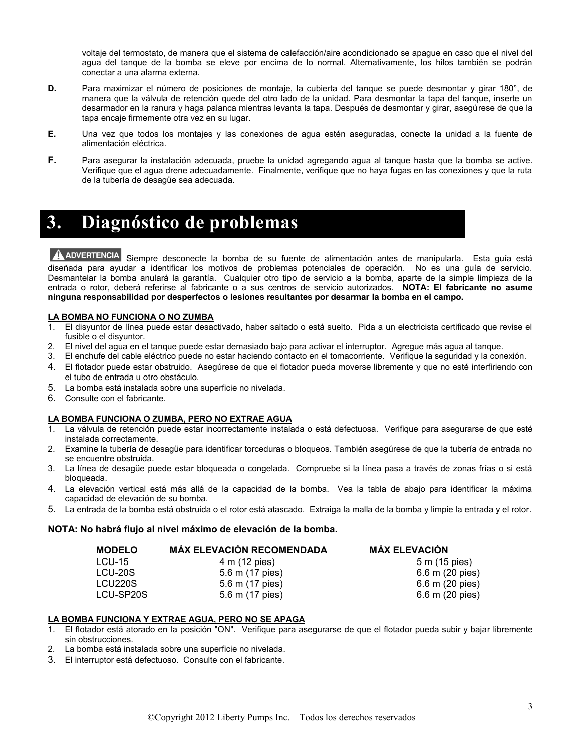voltaje del termostato, de manera que el sistema de calefacción/aire acondicionado se apague en caso que el nivel del agua del tanque de la bomba se eleve por encima de lo normal. Alternativamente, los hilos también se podrán conectar a una alarma externa.

- **D.** Para maximizar el número de posiciones de montaje, la cubierta del tanque se puede desmontar y girar 180°, de manera que la válvula de retención quede del otro lado de la unidad. Para desmontar la tapa del tanque, inserte un desarmador en la ranura y haga palanca mientras levanta la tapa. Después de desmontar y girar, asegúrese de que la tapa encaje firmemente otra vez en su lugar.
- **E.** Una vez que todos los montajes y las conexiones de agua estén aseguradas, conecte la unidad a la fuente de alimentación eléctrica.
- **F.** Para asegurar la instalación adecuada, pruebe la unidad agregando agua al tanque hasta que la bomba se active. Verifique que el agua drene adecuadamente. Finalmente, verifique que no haya fugas en las conexiones y que la ruta de la tubería de desagüe sea adecuada.

## **3. Diagnóstico de problemas**

A ADVERTENCIA Siempre desconecte la bomba de su fuente de alimentación antes de manipularla. Esta guía está diseñada para ayudar a identificar los motivos de problemas potenciales de operación. No es una guía de servicio. Desmantelar la bomba anulará la garantía. Cualquier otro tipo de servicio a la bomba, aparte de la simple limpieza de la entrada o rotor, deberá referirse al fabricante o a sus centros de servicio autorizados. **NOTA: El fabricante no asume ninguna responsabilidad por desperfectos o lesiones resultantes por desarmar la bomba en el campo.**

#### **LA BOMBA NO FUNCIONA O NO ZUMBA**

- 1. El disyuntor de línea puede estar desactivado, haber saltado o está suelto. Pida a un electricista certificado que revise el fusible o el disyuntor.
- 2. El nivel del agua en el tanque puede estar demasiado bajo para activar el interruptor. Agregue más agua al tanque.
- 3. El enchufe del cable eléctrico puede no estar haciendo contacto en el tomacorriente. Verifique la seguridad y la conexión.
- 4. El flotador puede estar obstruido. Asegúrese de que el flotador pueda moverse libremente y que no esté interfiriendo con el tubo de entrada u otro obstáculo.
- 5. La bomba está instalada sobre una superficie no nivelada.
- 6. Consulte con el fabricante.

#### **LA BOMBA FUNCIONA O ZUMBA, PERO NO EXTRAE AGUA**

- 1. La válvula de retención puede estar incorrectamente instalada o está defectuosa. Verifique para asegurarse de que esté instalada correctamente.
- 2. Examine la tubería de desagüe para identificar torceduras o bloqueos. También asegúrese de que la tubería de entrada no se encuentre obstruida.
- 3. La línea de desagüe puede estar bloqueada o congelada. Compruebe si la línea pasa a través de zonas frías o si está bloqueada.
- 4. La elevación vertical está más allá de la capacidad de la bomba. Vea la tabla de abajo para identificar la máxima capacidad de elevación de su bomba.
- 5. La entrada de la bomba está obstruida o el rotor está atascado. Extraiga la malla de la bomba y limpie la entrada y el rotor.

#### **NOTA: No habrá flujo al nivel máximo de elevación de la bomba.**

| <b>MODELO</b> | <b>MÁX ELEVACIÓN RECOMENDADA</b> | <b>MÁX ELEVACIÓN</b>      |
|---------------|----------------------------------|---------------------------|
| $LCU-15$      | 4 m (12 pies)                    | 5 m (15 pies)             |
| LCU-20S       | 5.6 m (17 pies)                  | 6.6 m (20 pies)           |
| LCU220S       | 5.6 m (17 pies)                  | 6.6 m (20 pies)           |
| LCU-SP20S     | 5.6 m (17 pies)                  | $6.6 \text{ m}$ (20 pies) |

#### **LA BOMBA FUNCIONA Y EXTRAE AGUA, PERO NO SE APAGA**

- 1. El flotador está atorado en la posición "ON". Verifique para asegurarse de que el flotador pueda subir y bajar libremente sin obstrucciones.
- 2. La bomba está instalada sobre una superficie no nivelada.
- 3. El interruptor está defectuoso. Consulte con el fabricante.